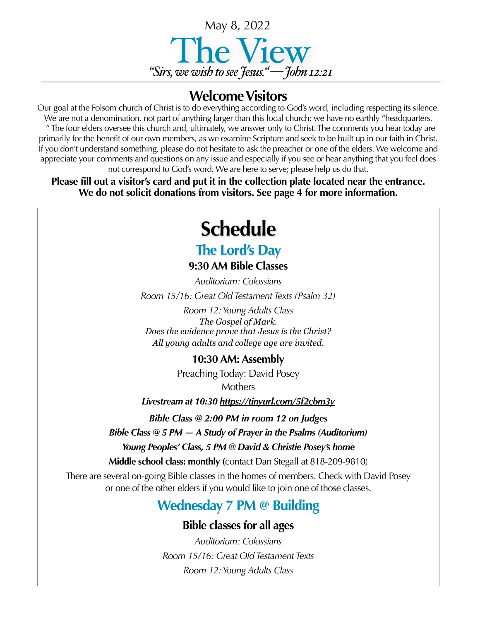

#### **Welcome Visitors**

Our goal at the Folsom church of Christ is to do everything according to God's word, including respecting its silence. We are not a denomination, not part of anything larger than this local church; we have no earthly "headquarters. " The four elders oversee this church and, ultimately, we answer only to Christ. The comments you hear today are primarily for the benefit of our own members, as we examine Scripture and seek to be built up in our faith in Christ. If you don't understand something, please do not hesitate to ask the preacher or one of the elders. We welcome and appreciate your comments and questions on any issue and especially if you see or hear anything that you feel does not correspond to God's word. We are here to serve; please help us do that.

**Please fill out a visitor's card and put it in the collection plate located near the entrance. We do not solicit donations from visitors. See page 4 for more information.**

# **Schedule**

## **The Lord's Day**

**9:30 AM Bible Classes**

*Auditorium: Colossians Room 15/16: Great Old Testament Texts (Psalm 32)*

*Room 12: Young Adults Class The Gospel of Mark. Does the evidence prove that Jesus is the Christ? All young adults and college age are invited*.

#### **10:30 AM: Assembly**

Preaching Today: David Posey **Mothers** 

*Livestream at 10:30 <https://tinyurl.com/5f2cbm3y>*

*Bible Class @ 2:00 PM in room 12 on Judges*

*Bible Class @ 5 PM — A Study of Prayer in the Psalms (Auditorium)*

*Young Peoples' Class, 5 PM @ David & Christie Posey's home* 

**Middle school class: monthly (**contact Dan Stegall at 818-209-9810)

There are several on-going Bible classes in the homes of members. Check with David Posey or one of the other elders if you would like to join one of those classes.

### **Wednesday 7 PM @ Building**

#### **Bible classes for all ages**

*Auditorium: Colossians Room 15/16: Great Old Testament Texts Room 12: Young Adults Class*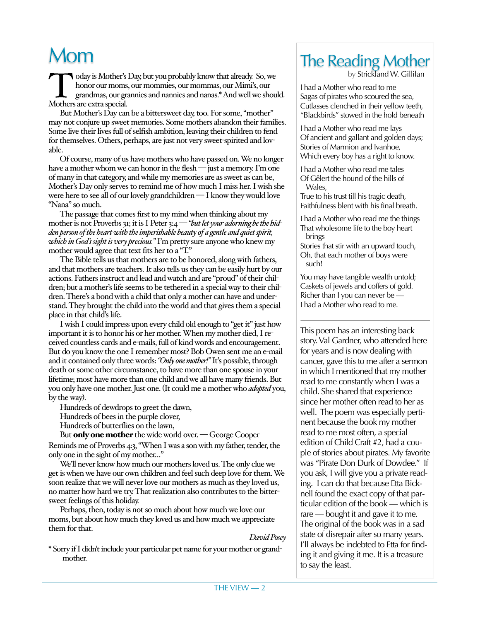## Mom

Oday is Mother's Day, but you probably know that already. So, we honor our moms, our mommies, our mommas, our Mimi's, our grandmas, our grannies and nannies and nanas.\* And well we shoul Mothers are extra special. honor our moms, our mommies, our mommas, our Mimi's, our grandmas, our grannies and nannies and nanas.\* And well we should. Mothers are extra special.

But Mother's Day can be a bittersweet day, too. For some, "mother" may not conjure up sweet memories. Some mothers abandon their families. Some live their lives full of selfish ambition, leaving their children to fend for themselves. Others, perhaps, are just not very sweet-spirited and lovable.

Of course, many of us have mothers who have passed on. We no longer have a mother whom we can honor in the flesh — just a memory. I'm one of many in that category, and while my memories are as sweet as can be, Mother's Day only serves to remind me of how much I miss her. I wish she were here to see all of our lovely grandchildren — I know they would love "Nana" so much.

The passage that comes first to my mind when thinking about my mother is not Proverbs 31; it is I Peter 3:4 — *"but let your adorning be the hidden person of the heart with the imperishable beauty of a gentle and quiet spirit, which in God's sight is very precious."* I'm pretty sure anyone who knew my mother would agree that text fits her to a "T."

The Bible tells us that mothers are to be honored, along with fathers, and that mothers are teachers. It also tells us they can be easily hurt by our actions. Fathers instruct and lead and watch and are "proud" of their children; but a mother's life seems to be tethered in a special way to their children. There's a bond with a child that only a mother can have and understand. They brought the child into the world and that gives them a special place in that child's life.

I wish I could impress upon every child old enough to "get it" just how important it is to honor his or her mother. When my mother died, I received countless cards and e-mails, full of kind words and encouragement. But do you know the one I remember most? Bob Owen sent me an e-mail and it contained only three words: *"Only one mother!"* It's possible, through death or some other circumstance, to have more than one spouse in your lifetime; most have more than one child and we all have many friends. But you only have one mother. Just one. (It could me a mother who *adopted* you, by the way).

Hundreds of dewdrops to greet the dawn,

Hundreds of bees in the purple clover,

Hundreds of butterflies on the lawn,

But only one mother the wide world over. - George Cooper Reminds me of Proverbs 4:3, "When I was a son with my father, tender, the only one in the sight of my mother…"

We'll never know how much our mothers loved us. The only clue we get is when we have our own children and feel such deep love for them. We soon realize that we will never love our mothers as much as they loved us, no matter how hard we try. That realization also contributes to the bittersweet feelings of this holiday.

Perhaps, then, today is not so much about how much we love our moms, but about how much they loved us and how much we appreciate them for that.

*David Posey*

\* Sorry if I didn't include your particular pet name for your mother or grandmother.

## The Reading Mother

by Strickland W. Gillilan

I had a Mother who read to me Sagas of pirates who scoured the sea, Cutlasses clenched in their yellow teeth, "Blackbirds" stowed in the hold beneath

I had a Mother who read me lays Of ancient and gallant and golden days; Stories of Marmion and Ivanhoe, Which every boy has a right to know.

I had a Mother who read me tales Of Gêlert the hound of the hills of Wales,

True to his trust till his tragic death, Faithfulness blent with his final breath.

I had a Mother who read me the things That wholesome life to the boy heart brings

Stories that stir with an upward touch, Oh, that each mother of boys were such!

You may have tangible wealth untold; Caskets of jewels and coffers of gold. Richer than I you can never be — I had a Mother who read to me.

This poem has an interesting back story. Val Gardner, who attended here for years and is now dealing with cancer, gave this to me after a sermon in which I mentioned that my mother read to me constantly when I was a child. She shared that experience since her mother often read to her as well. The poem was especially pertinent because the book my mother read to me most often, a special edition of Child Craft #2, had a couple of stories about pirates. My favorite was "Pirate Don Durk of Dowdee." If you ask, I will give you a private reading. I can do that because Etta Bicknell found the exact copy of that particular edition of the book — which is rare — bought it and gave it to me. The original of the book was in a sad state of disrepair after so many years. I'll always be indebted to Etta for finding it and giving it me. It is a treasure to say the least.